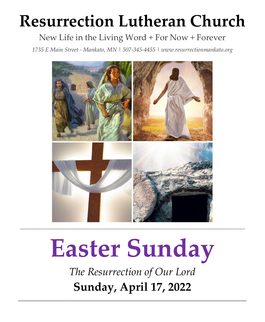# **Resurrection Lutheran Church**

# New Life in the Living Word + For Now + Forever

*1735 E Main Street - Mankato, MN | 507-345-4455 [| www.resurrectionmankato.org](http://www.resurrectionmankato.org/)*



# **Easter Sunday**

*The Resurrection of Our Lord* **Sunday, April 17, 2022**

*\_\_\_\_\_\_\_\_\_\_\_\_\_\_\_\_\_\_\_\_\_\_\_\_\_\_\_\_\_\_\_\_\_\_\_\_\_\_\_\_\_\_\_\_\_\_\_\_\_\_\_\_\_\_\_\_\_\_\_\_\_\_\_\_\_\_\_\_\_\_\_\_\_\_\_\_\_\_\_*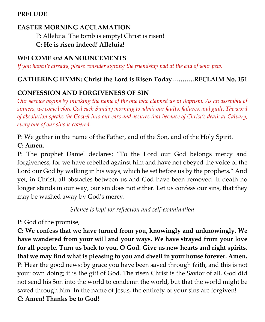#### **PRELUDE**

#### **EASTER MORNING ACCLAMATION**

P: Alleluia! The tomb is empty! Christ is risen! **C: He is risen indeed! Alleluia!**

#### **WELCOME** *and* **ANNOUNCEMENTS**

*If you haven't already, please consider signing the friendship pad at the end of your pew.* 

#### **GATHERING HYMN: Christ the Lord is Risen Today………..RECLAIM No. 151**

#### **CONFESSION AND FORGIVENESS OF SIN**

*Our service begins by invoking the name of the one who claimed us in Baptism. As an assembly of sinners, we come before God each Sunday morning to admit our faults, failures, and guilt. The word of absolution speaks the Gospel into our ears and assures that because of Christ's death at Calvary, every one of our sins is covered.* 

P: We gather in the name of the Father, and of the Son, and of the Holy Spirit.

#### **C: Amen.**

P: The prophet Daniel declares: "To the Lord our God belongs mercy and forgiveness, for we have rebelled against him and have not obeyed the voice of the Lord our God by walking in his ways, which he set before us by the prophets." And yet, in Christ, all obstacles between us and God have been removed. If death no longer stands in our way, our sin does not either. Let us confess our sins, that they may be washed away by God's mercy.

*Silence is kept for reflection and self-examination*

P: God of the promise,

**C: We confess that we have turned from you, knowingly and unknowingly. We have wandered from your will and your ways. We have strayed from your love for all people. Turn us back to you, O God. Give us new hearts and right spirits, that we may find what is pleasing to you and dwell in your house forever. Amen.** P: Hear the good news: by grace you have been saved through faith, and this is not your own doing; it is the gift of God. The risen Christ is the Savior of all. God did not send his Son into the world to condemn the world, but that the world might be saved through him. In the name of Jesus, the entirety of your sins are forgiven! **C: Amen! Thanks be to God!**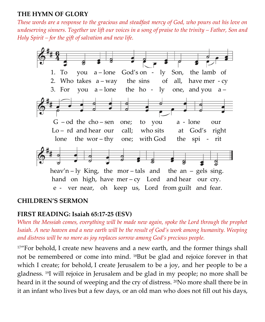#### **THE HYMN OF GLORY**

*These words are a response to the gracious and steadfast mercy of God, who pours out his love on undeserving sinners. Together we lift our voices in a song of praise to the trinity – Father, Son and Holy Spirit – for the gift of salvation and new life.* 



#### **CHILDREN'S SERMON**

#### **FIRST READING: Isaiah 65:17-25 (ESV)**

*When the Messiah comes, everything will be made new again, spoke the Lord through the prophet Isaiah. A new heaven and a new earth will be the result of God's work among humanity. Weeping and distress will be no more as joy replaces sorrow among God's precious people.* 

<sup>17</sup>"For behold, I create new heavens and a new earth, and the former things shall not be remembered or come into mind. <sup>18</sup>But be glad and rejoice forever in that which I create; for behold, I create Jerusalem to be a joy, and her people to be a gladness. <sup>19</sup>I will rejoice in Jerusalem and be glad in my people; no more shall be heard in it the sound of weeping and the cry of distress. <sup>20</sup>No more shall there be in it an infant who lives but a few days, or an old man who does not fill out his days,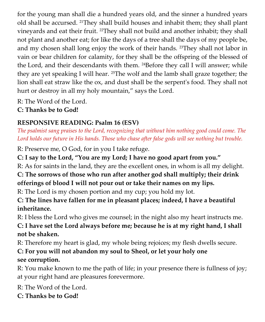for the young man shall die a hundred years old, and the sinner a hundred years old shall be accursed. <sup>21</sup>They shall build houses and inhabit them; they shall plant vineyards and eat their fruit. <sup>22</sup>They shall not build and another inhabit; they shall not plant and another eat; for like the days of a tree shall the days of my people be, and my chosen shall long enjoy the work of their hands. <sup>23</sup>They shall not labor in vain or bear children for calamity, for they shall be the offspring of the blessed of the Lord, and their descendants with them. <sup>24</sup>Before they call I will answer; while they are yet speaking I will hear. <sup>25</sup>The wolf and the lamb shall graze together; the lion shall eat straw like the ox, and dust shall be the serpent's food. They shall not hurt or destroy in all my holy mountain," says the Lord.

R: The Word of the Lord.

**C: Thanks be to God!** 

# **RESPONSIVE READING: Psalm 16 (ESV)**

*The psalmist sang praises to the Lord, recognizing that without him nothing good could come. The Lord holds our future in His hands. Those who chase after false gods will see nothing but trouble.* 

R: Preserve me, O God, for in you I take refuge.

**C: I say to the Lord, "You are my Lord; I have no good apart from you."**

R: As for saints in the land, they are the excellent ones, in whom is all my delight. **C: The sorrows of those who run after another god shall multiply; their drink** 

# **offerings of blood I will not pour out or take their names on my lips.**

R: The Lord is my chosen portion and my cup; you hold my lot.

### **C: The lines have fallen for me in pleasant places; indeed, I have a beautiful inheritance.**

R: I bless the Lord who gives me counsel; in the night also my heart instructs me.

**C: I have set the Lord always before me; because he is at my right hand, I shall not be shaken.**

R: Therefore my heart is glad, my whole being rejoices; my flesh dwells secure.

# **C: For you will not abandon my soul to Sheol, or let your holy one see corruption.**

R: You make known to me the path of life; in your presence there is fullness of joy; at your right hand are pleasures forevermore.

R: The Word of the Lord.

**C: Thanks be to God!**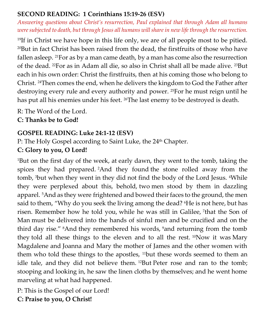#### **SECOND READING: 1 Corinthians 15:19-26 (ESV)**

*Answering questions about Christ's resurrection, Paul explained that through Adam all humans were subjected to death, but through Jesus all humans will share in new life through the resurrection.* 

<sup>19</sup>If in Christ we have hope in this life only, we are of all people most to be pitied. <sup>20</sup>But in fact Christ has been raised from the dead, the firstfruits of those who have fallen asleep. <sup>21</sup>For as by a man came death, by a man has come also the resurrection of the dead. <sup>22</sup>For as in Adam all die, so also in Christ shall all be made alive. <sup>23</sup>But each in his own order: Christ the firstfruits, then at his coming those who belong to Christ. <sup>24</sup>Then comes the end, when he delivers the kingdom to God the Father after destroying every rule and every authority and power. <sup>25</sup>For he must reign until he has put all his enemies under his feet. <sup>26</sup>The last enemy to be destroyed is death.

R: The Word of the Lord.

**C: Thanks be to God!** 

#### **GOSPEL READING: Luke 24:1-12 (ESV)**

P: The Holy Gospel according to Saint Luke, the 24<sup>th</sup> Chapter.

#### **C: Glory to you, O Lord!**

<sup>1</sup>But on the first day of the week, at early dawn, they went to the tomb, taking the spices they had prepared. <sup>2</sup>And they found the stone rolled away from the tomb, <sup>3</sup>but when they went in they did not find the body of the Lord Jesus. <sup>4</sup>While they were perplexed about this, behold, two men stood by them in dazzling apparel. <sup>5</sup>And as they were frightened and bowed their faces to the ground, the men said to them, "Why do you seek the living among the dead? <sup>6</sup>He is not here, but has risen. Remember how he told you, while he was still in Galilee, <sup>7</sup> that the Son of Man must be delivered into the hands of sinful men and be crucified and on the third day rise." <sup>8</sup>And they remembered his words, <sup>9</sup>and returning from the tomb they told all these things to the eleven and to all the rest.  $^{10}$ Now it was Mary Magdalene and Joanna and Mary the mother of James and the other women with them who told these things to the apostles, <sup>11</sup>but these words seemed to them an idle tale, and they did not believe them. <sup>12</sup>But Peter rose and ran to the tomb; stooping and looking in, he saw the linen cloths by themselves; and he went home marveling at what had happened.

P: This is the Gospel of our Lord! **C: Praise to you, O Christ!**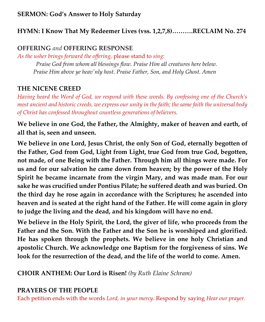#### **SERMON: God's Answer to Holy Saturday**

#### **HYMN: I Know That My Redeemer Lives (vss. 1,2,7,8)……….RECLAIM No. 274**

#### **OFFERING** *and* **OFFERING RESPONSE**

*As the usher brings forward the offering,* please stand to *sing:*

*Praise God from whom all blessings flow. Praise Him all creatures here below. Praise Him above ye heav'nly host. Praise Father, Son, and Holy Ghost. Amen*

#### **THE NICENE CREED**

*Having heard the Word of God, we respond with these words. By confessing one of the Church's most ancient and historic creeds, we express our unity in the faith; the same faith the universal body of Christ has confessed throughout countless generations of believers.* 

**We believe in one God, the Father, the Almighty, maker of heaven and earth, of all that is, seen and unseen.**

**We believe in one Lord, Jesus Christ, the only Son of God, eternally begotten of the Father, God from God, Light from Light, true God from true God, begotten, not made, of one Being with the Father. Through him all things were made. For us and for our salvation he came down from heaven; by the power of the Holy Spirit he became incarnate from the virgin Mary, and was made man. For our sake he was crucified under Pontius Pilate; he suffered death and was buried. On the third day he rose again in accordance with the Scriptures; he ascended into heaven and is seated at the right hand of the Father. He will come again in glory to judge the living and the dead, and his kingdom will have no end.**

**We believe in the Holy Spirit, the Lord, the giver of life, who proceeds from the Father and the Son. With the Father and the Son he is worshiped and glorified. He has spoken through the prophets. We believe in one holy Christian and apostolic Church. We acknowledge one Baptism for the forgiveness of sins. We look for the resurrection of the dead, and the life of the world to come. Amen.**

**CHOIR ANTHEM: Our Lord is Risen!** *(by Ruth Elaine Schram)*

#### **PRAYERS OF THE PEOPLE**

Each petition ends with the words *Lord, in your mercy*. Respond by saying *Hear our prayer.*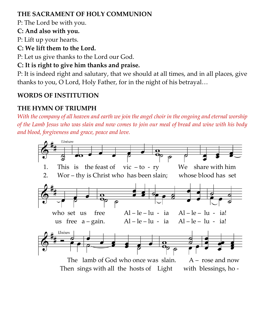#### **THE SACRAMENT OF HOLY COMMUNION**

P: The Lord be with you.

**C: And also with you.**

P: Lift up your hearts.

**C: We lift them to the Lord.**

P: Let us give thanks to the Lord our God.

# **C: It is right to give him thanks and praise.**

P: It is indeed right and salutary, that we should at all times, and in all places, give thanks to you, O Lord, Holy Father, for in the night of his betrayal…

# **WORDS OF INSTITUTION**

# **THE HYMN OF TRIUMPH**

*With the company of all heaven and earth we join the angel choir in the ongoing and eternal worship of the Lamb Jesus who was slain and now comes to join our meal of bread and wine with his body and blood, forgiveness and grace, peace and love.* 



Then sings with all the hosts of Light with blessings, ho -